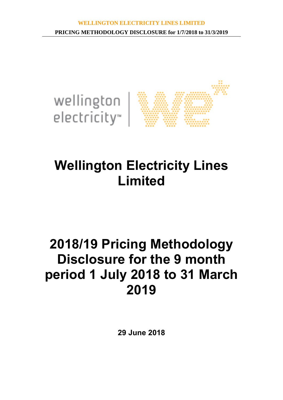

# **Wellington Electricity Lines Limited**

# **2018/19 Pricing Methodology Disclosure for the 9 month period 1 July 2018 to 31 March 2019**

**29 June 2018**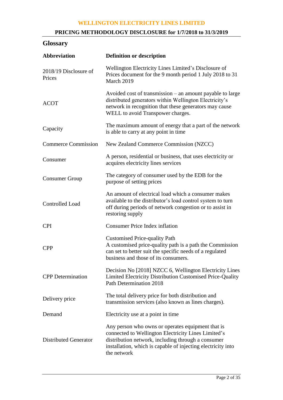# **PRICING METHODOLOGY DISCLOSURE for 1/7/2018 to 31/3/2019**

# **Glossary**

| Abbreviation                    | <b>Definition or description</b>                                                                                                                                                                                                              |  |  |
|---------------------------------|-----------------------------------------------------------------------------------------------------------------------------------------------------------------------------------------------------------------------------------------------|--|--|
| 2018/19 Disclosure of<br>Prices | Wellington Electricity Lines Limited's Disclosure of<br>Prices document for the 9 month period 1 July 2018 to 31<br>March 2019                                                                                                                |  |  |
| <b>ACOT</b>                     | Avoided cost of transmission – an amount payable to large<br>distributed generators within Wellington Electricity's<br>network in recognition that these generators may cause<br>WELL to avoid Transpower charges.                            |  |  |
| Capacity                        | The maximum amount of energy that a part of the network<br>is able to carry at any point in time                                                                                                                                              |  |  |
| <b>Commerce Commission</b>      | New Zealand Commerce Commission (NZCC)                                                                                                                                                                                                        |  |  |
| Consumer                        | A person, residential or business, that uses electricity or<br>acquires electricity lines services                                                                                                                                            |  |  |
| <b>Consumer Group</b>           | The category of consumer used by the EDB for the<br>purpose of setting prices                                                                                                                                                                 |  |  |
| Controlled Load                 | An amount of electrical load which a consumer makes<br>available to the distributor's load control system to turn<br>off during periods of network congestion or to assist in<br>restoring supply                                             |  |  |
| <b>CPI</b>                      | <b>Consumer Price Index inflation</b>                                                                                                                                                                                                         |  |  |
| <b>CPP</b>                      | <b>Customised Price-quality Path</b><br>A customised price-quality path is a path the Commission<br>can set to better suit the specific needs of a regulated<br>business and those of its consumers.                                          |  |  |
| <b>CPP</b> Determination        | Decision No [2018] NZCC 6, Wellington Electricity Lines<br>Limited Electricity Distribution Customised Price-Quality<br>Path Determination 2018                                                                                               |  |  |
| Delivery price                  | The total delivery price for both distribution and<br>transmission services (also known as lines charges).                                                                                                                                    |  |  |
| Demand                          | Electricity use at a point in time                                                                                                                                                                                                            |  |  |
| <b>Distributed Generator</b>    | Any person who owns or operates equipment that is<br>connected to Wellington Electricity Lines Limited's<br>distribution network, including through a consumer<br>installation, which is capable of injecting electricity into<br>the network |  |  |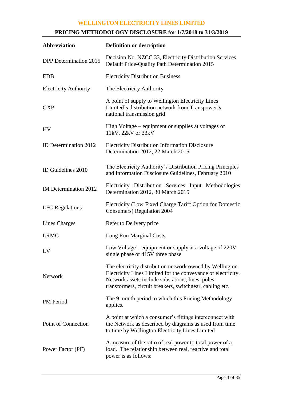# **PRICING METHODOLOGY DISCLOSURE for 1/7/2018 to 31/3/2019**

| <b>Abbreviation</b>           | <b>Definition or description</b>                                                                                                                                                                                                          |  |  |
|-------------------------------|-------------------------------------------------------------------------------------------------------------------------------------------------------------------------------------------------------------------------------------------|--|--|
| <b>DPP</b> Determination 2015 | Decision No. NZCC 33, Electricity Distribution Services<br>Default Price-Quality Path Determination 2015                                                                                                                                  |  |  |
| <b>EDB</b>                    | <b>Electricity Distribution Business</b>                                                                                                                                                                                                  |  |  |
| <b>Electricity Authority</b>  | The Electricity Authority                                                                                                                                                                                                                 |  |  |
| <b>GXP</b>                    | A point of supply to Wellington Electricity Lines<br>Limited's distribution network from Transpower's<br>national transmission grid                                                                                                       |  |  |
| <b>HV</b>                     | High Voltage – equipment or supplies at voltages of<br>11kV, 22kV or 33kV                                                                                                                                                                 |  |  |
| ID Determination 2012         | <b>Electricity Distribution Information Disclosure</b><br>Determination 2012, 22 March 2015                                                                                                                                               |  |  |
| ID Guidelines 2010            | The Electricity Authority's Distribution Pricing Principles<br>and Information Disclosure Guidelines, February 2010                                                                                                                       |  |  |
| IM Determination 2012         | Electricity Distribution Services Input Methodologies<br>Determination 2012, 30 March 2015                                                                                                                                                |  |  |
| <b>LFC</b> Regulations        | Electricity (Low Fixed Charge Tariff Option for Domestic<br><b>Consumers</b> ) Regulation 2004                                                                                                                                            |  |  |
| Lines Charges                 | Refer to Delivery price                                                                                                                                                                                                                   |  |  |
| <b>LRMC</b>                   | Long Run Marginal Costs                                                                                                                                                                                                                   |  |  |
| LV                            | Low Voltage – equipment or supply at a voltage of 220V<br>single phase or 415V three phase                                                                                                                                                |  |  |
| <b>Network</b>                | The electricity distribution network owned by Wellington<br>Electricity Lines Limited for the conveyance of electricity.<br>Network assets include substations, lines, poles,<br>transformers, circuit breakers, switchgear, cabling etc. |  |  |
| PM Period                     | The 9 month period to which this Pricing Methodology<br>applies.                                                                                                                                                                          |  |  |
| Point of Connection           | A point at which a consumer's fittings interconnect with<br>the Network as described by diagrams as used from time<br>to time by Wellington Electricity Lines Limited                                                                     |  |  |
| Power Factor (PF)             | A measure of the ratio of real power to total power of a<br>load. The relationship between real, reactive and total<br>power is as follows:                                                                                               |  |  |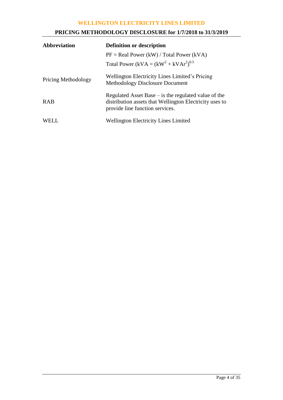# **PRICING METHODOLOGY DISCLOSURE for 1/7/2018 to 31/3/2019**

| <b>Abbreviation</b>        | <b>Definition or description</b>                                                                                                                     |  |  |
|----------------------------|------------------------------------------------------------------------------------------------------------------------------------------------------|--|--|
|                            | $PF = Real Power (kW) / Total Power (kVA)$                                                                                                           |  |  |
|                            | Total Power (kVA = $(kW^2 + kVAr^2)^{0.5}$                                                                                                           |  |  |
| <b>Pricing Methodology</b> | Wellington Electricity Lines Limited's Pricing<br><b>Methodology Disclosure Document</b>                                                             |  |  |
| <b>RAB</b>                 | Regulated Asset Base $-$ is the regulated value of the<br>distribution assets that Wellington Electricity uses to<br>provide line function services. |  |  |
| WELL.                      | <b>Wellington Electricity Lines Limited</b>                                                                                                          |  |  |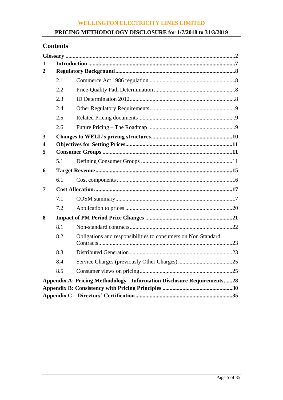# **PRICING METHODOLOGY DISCLOSURE for 1/7/2018 to 31/3/2019**

# **Contents**

| 1              |     |                                                                                |  |
|----------------|-----|--------------------------------------------------------------------------------|--|
| $\overline{2}$ |     |                                                                                |  |
|                | 2.1 |                                                                                |  |
|                | 2.2 |                                                                                |  |
|                | 2.3 |                                                                                |  |
|                | 2.4 |                                                                                |  |
|                | 2.5 |                                                                                |  |
|                | 2.6 |                                                                                |  |
| 3<br>4         |     |                                                                                |  |
| 5              |     |                                                                                |  |
|                | 5.1 |                                                                                |  |
| 6              |     |                                                                                |  |
|                | 6.1 |                                                                                |  |
| 7              |     |                                                                                |  |
|                | 7.1 |                                                                                |  |
|                | 7.2 |                                                                                |  |
| 8              |     |                                                                                |  |
|                | 8.1 |                                                                                |  |
|                | 8.2 | Obligations and responsibilities to consumers on Non Standard                  |  |
|                | 8.3 |                                                                                |  |
|                | 8.4 |                                                                                |  |
|                | 8.5 |                                                                                |  |
|                |     | <b>Appendix A: Pricing Methodology - Information Disclosure Requirements28</b> |  |
|                |     |                                                                                |  |
|                |     |                                                                                |  |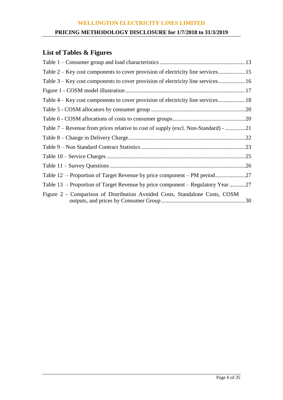# **PRICING METHODOLOGY DISCLOSURE for 1/7/2018 to 31/3/2019**

# **List of Tables & Figures**

| Table 2 – Key cost components to cover provision of electricity line services      |  |
|------------------------------------------------------------------------------------|--|
| Table 3 – Key cost components to cover provision of electricity line services16    |  |
|                                                                                    |  |
|                                                                                    |  |
|                                                                                    |  |
|                                                                                    |  |
| Table 7 – Revenue from prices relative to cost of supply (excl. Non-Standard) - 21 |  |
|                                                                                    |  |
|                                                                                    |  |
|                                                                                    |  |
|                                                                                    |  |
|                                                                                    |  |
| Table 13 – Proportion of Target Revenue by price component – Regulatory Year 27    |  |
| Figure 2 - Comparison of Distribution Avoided Costs, Standalone Costs, COSM        |  |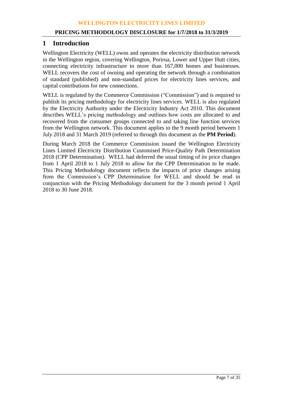# **1 Introduction**

Wellington Electricity (WELL) owns and operates the electricity distribution network in the Wellington region, covering Wellington, Porirua, Lower and Upper Hutt cities, connecting electricity infrastructure to more than 167,000 homes and businesses. WELL recovers the cost of owning and operating the network through a combination of standard (published) and non-standard prices for electricity lines services, and capital contributions for new connections.

WELL is regulated by the Commerce Commission ("Commission") and is required to publish its pricing methodology for electricity lines services. WELL is also regulated by the Electricity Authority under the Electricity Industry Act 2010. This document describes WELL's pricing methodology and outlines how costs are allocated to and recovered from the consumer groups connected to and taking line function services from the Wellington network. This document applies to the 9 month period between 1 July 2018 and 31 March 2019 (referred to through this document as the **PM Period**).

During March 2018 the Commerce Commission issued the Wellington Electricity Lines Limited Electricity Distribution Customised Price-Quality Path Determination 2018 (CPP Determination). WELL had deferred the usual timing of its price changes from 1 April 2018 to 1 July 2018 to allow for the CPP Determination to be made. This Pricing Methodology document reflects the impacts of price changes arising from the Commission's CPP Determination for WELL and should be read in conjunction with the Pricing Methodology document for the 3 month period 1 April 2018 to 30 June 2018.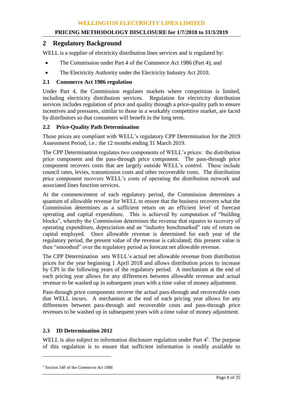# **2 Regulatory Background**

WELL is a supplier of electricity distribution lines services and is regulated by:

- The Commission under Part 4 of the Commerce Act 1986 (Part 4); and
- The Electricity Authority under the Electricity Industry Act 2010.

# **2.1 Commerce Act 1986 regulation**

Under Part 4, the Commission regulates markets where competition is limited, including electricity distribution services. Regulation for electricity distribution services includes regulation of price and quality through a price-quality path to ensure incentives and pressures, similar to those in a workably competitive market, are faced by distributors so that consumers will benefit in the long term.

# **2.2 Price-Quality Path Determination**

These prices are compliant with WELL's regulatory CPP Determination for the 2019 Assessment Period, i.e.: the 12 months ending 31 March 2019.

The CPP Determination regulates two components of WELL's prices: the distribution price component and the pass-through price component. The pass-through price component recovers costs that are largely outside WELL's control. These include council rates, levies, transmission costs and other recoverable costs. The distribution price component recovers WELL's costs of operating the distribution network and associated lines function services.

At the commencement of each regulatory period, the Commission determines a quantum of allowable revenue for WELL to ensure that the business recovers what the Commission determines as a sufficient return on an efficient level of forecast operating and capital expenditure. This is achieved by computation of "building blocks", whereby the Commission determines the revenue that equates to recovery of operating expenditure, depreciation and an "industry benchmarked" rate of return on capital employed. Once allowable revenue is determined for each year of the regulatory period, the present value of the revenue is calculated; this present value is then "smoothed" over the regulatory period as forecast net allowable revenue.

The CPP Determination sets WELL's actual net allowable revenue from distribution prices for the year beginning 1 April 2018 and allows distribution prices to increase by CPI in the following years of the regulatory period. A mechanism at the end of each pricing year allows for any differences between allowable revenue and actual revenue to be washed up in subsequent years with a time value of money adjustment.

Pass-through price components recover the actual pass-through and recoverable costs that WELL incurs. A mechanism at the end of each pricing year allows for any differences between pass-through and recoverable costs and pass-through price revenues to be washed up in subsequent years with a time value of money adjustment.

# **2.3 ID Determination 2012**

WELL is also subject to information disclosure regulation under Part  $4<sup>1</sup>$ . The purpose of this regulation is to ensure that sufficient information is readily available to

 $\overline{a}$ 

<sup>1</sup> Section 54F of the *Commerce Act 1986*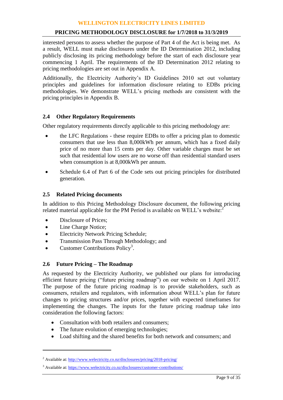## **PRICING METHODOLOGY DISCLOSURE for 1/7/2018 to 31/3/2019**

interested persons to assess whether the purpose of Part 4 of the Act is being met. As a result, WELL must make disclosures under the ID Determination 2012, including publicly disclosing its pricing methodology before the start of each disclosure year commencing 1 April. The requirements of the ID Determination 2012 relating to pricing methodologies are set out in Appendix A.

Additionally, the Electricity Authority's ID Guidelines 2010 set out voluntary principles and guidelines for information disclosure relating to EDBs pricing methodologies. We demonstrate WELL's pricing methods are consistent with the pricing principles in Appendix B.

## **2.4 Other Regulatory Requirements**

Other regulatory requirements directly applicable to this pricing methodology are:

- the LFC Regulations these require EDBs to offer a pricing plan to domestic consumers that use less than 8,000kWh per annum, which has a fixed daily price of no more than 15 cents per day. Other variable charges must be set such that residential low users are no worse off than residential standard users when consumption is at 8,000kWh per annum.
- Schedule 6.4 of Part 6 of the Code sets out pricing principles for distributed generation.

## **2.5 Related Pricing documents**

In addition to this Pricing Methodology Disclosure document, the following pricing related material applicable for the PM Period is available on WELL's website:<sup>2</sup>

- Disclosure of Prices;
- Line Charge Notice;

 $\overline{a}$ 

- Electricity Network Pricing Schedule;
- Transmission Pass Through Methodology; and
- $\bullet$  Customer Contributions Policy<sup>3</sup>.

# **2.6 Future Pricing – The Roadmap**

As requested by the Electricity Authority, we published our plans for introducing efficient future pricing ("future pricing roadmap") on our website on 1 April 2017. The purpose of the future pricing roadmap is to provide stakeholders, such as consumers, retailers and regulators, with information about WELL's plan for future changes to pricing structures and/or prices, together with expected timeframes for implementing the changes. The inputs for the future pricing roadmap take into consideration the following factors:

- Consultation with both retailers and consumers:
- The future evolution of emerging technologies;
- Load shifting and the shared benefits for both network and consumers; and

<sup>&</sup>lt;sup>2</sup> Available at[: http://www.welectricity.co.nz/disclosures/pricing/2018-pricing/](http://www.welectricity.co.nz/disclosures/pricing/2018-pricing/)

<sup>&</sup>lt;sup>3</sup> Available at[: https://www.welectricity.co.nz/disclosures/customer-contributions/](https://www.welectricity.co.nz/disclosures/customer-contributions/)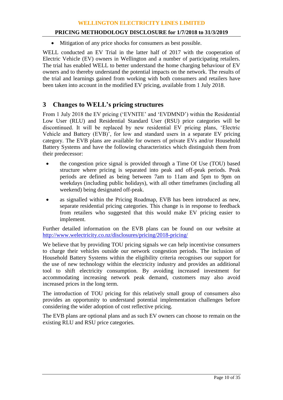## **PRICING METHODOLOGY DISCLOSURE for 1/7/2018 to 31/3/2019**

Mitigation of any price shocks for consumers as best possible.

WELL conducted an EV Trial in the latter half of 2017 with the cooperation of Electric Vehicle (EV) owners in Wellington and a number of participating retailers. The trial has enabled WELL to better understand the home charging behaviour of EV owners and to thereby understand the potential impacts on the network. The results of the trial and learnings gained from working with both consumers and retailers have been taken into account in the modified EV pricing, available from 1 July 2018.

# **3 Changes to WELL's pricing structures**

From 1 July 2018 the EV pricing ('EVNITE' and 'EVDMND') within the Residential Low User (RLU) and Residential Standard User (RSU) price categories will be discontinued. It will be replaced by new residential EV pricing plans, 'Electric Vehicle and Battery (EVB)', for low and standard users in a separate EV pricing category. The EVB plans are available for owners of private EVs and/or Household Battery Systems and have the following characteristics which distinguish them from their predecessor:

- the congestion price signal is provided through a Time Of Use (TOU) based structure where pricing is separated into peak and off-peak periods. Peak periods are defined as being between 7am to 11am and 5pm to 9pm on weekdays (including public holidays), with all other timeframes (including all weekend) being designated off-peak.
- as signalled within the Pricing Roadmap, EVB has been introduced as new, separate residential pricing categories. This change is in response to feedback from retailers who suggested that this would make EV pricing easier to implement.

Further detailed information on the EVB plans can be found on our website at <http://www.welectricity.co.nz/disclosures/pricing/2018-pricing/>

We believe that by providing TOU pricing signals we can help incentivise consumers to charge their vehicles outside our network congestion periods. The inclusion of Household Battery Systems within the eligibility criteria recognises our support for the use of new technology within the electricity industry and provides an additional tool to shift electricity consumption. By avoiding increased investment for accommodating increasing network peak demand, customers may also avoid increased prices in the long term.

The introduction of TOU pricing for this relatively small group of consumers also provides an opportunity to understand potential implementation challenges before considering the wider adoption of cost reflective pricing.

The EVB plans are optional plans and as such EV owners can choose to remain on the existing RLU and RSU price categories.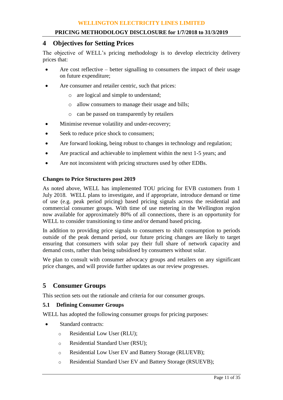# **4 Objectives for Setting Prices**

The objective of WELL's pricing methodology is to develop electricity delivery prices that:

- Are cost reflective better signalling to consumers the impact of their usage on future expenditure;
- Are consumer and retailer centric, such that prices:
	- o are logical and simple to understand;
	- o allow consumers to manage their usage and bills;
	- o can be passed on transparently by retailers
- Minimise revenue volatility and under-recovery;
- Seek to reduce price shock to consumers;
- Are forward looking, being robust to changes in technology and regulation;
- Are practical and achievable to implement within the next 1-5 years; and
- Are not inconsistent with pricing structures used by other EDBs.

#### **Changes to Price Structures post 2019**

As noted above, WELL has implemented TOU pricing for EVB customers from 1 July 2018. WELL plans to investigate, and if appropriate, introduce demand or time of use (e.g. peak period pricing) based pricing signals across the residential and commercial consumer groups. With time of use metering in the Wellington region now available for approximately 80% of all connections, there is an opportunity for WELL to consider transitioning to time and/or demand based pricing.

In addition to providing price signals to consumers to shift consumption to periods outside of the peak demand period, our future pricing changes are likely to target ensuring that consumers with solar pay their full share of network capacity and demand costs, rather than being subsidised by consumers without solar.

We plan to consult with consumer advocacy groups and retailers on any significant price changes, and will provide further updates as our review progresses.

# **5 Consumer Groups**

This section sets out the rationale and criteria for our consumer groups.

## **5.1 Defining Consumer Groups**

WELL has adopted the following consumer groups for pricing purposes:

- Standard contracts:
	- o Residential Low User (RLU);
	- o Residential Standard User (RSU);
	- o Residential Low User EV and Battery Storage (RLUEVB);
	- o Residential Standard User EV and Battery Storage (RSUEVB);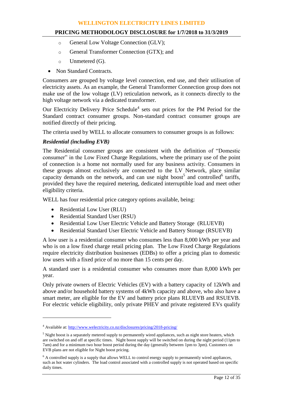# **PRICING METHODOLOGY DISCLOSURE for 1/7/2018 to 31/3/2019**

- o General Low Voltage Connection (GLV);
- o General Transformer Connection (GTX); and
- $\circ$  Unmetered (G).
- Non Standard Contracts.

Consumers are grouped by voltage level connection, end use, and their utilisation of electricity assets. As an example, the General Transformer Connection group does not make use of the low voltage (LV) reticulation network, as it connects directly to the high voltage network via a dedicated transformer.

Our Electricity Delivery Price Schedule<sup>4</sup> sets out prices for the PM Period for the Standard contract consumer groups. Non-standard contract consumer groups are notified directly of their pricing.

The criteria used by WELL to allocate consumers to consumer groups is as follows:

# *Residential (including EVB)*

The Residential consumer groups are consistent with the definition of "Domestic consumer" in the Low Fixed Charge Regulations, where the primary use of the point of connection is a home not normally used for any business activity. Consumers in these groups almost exclusively are connected to the LV Network, place similar capacity demands on the network, and can use night boost<sup>5</sup> and controlled<sup>6</sup> tariffs, provided they have the required metering, dedicated interruptible load and meet other eligibility criteria.

WELL has four residential price category options available, being:

• Residential Low User (RLU)

 $\overline{a}$ 

- Residential Standard User (RSU)
- Residential Low User Electric Vehicle and Battery Storage (RLUEVB)
- Residential Standard User Electric Vehicle and Battery Storage (RSUEVB)

A low user is a residential consumer who consumes less than 8,000 kWh per year and who is on a low fixed charge retail pricing plan. The Low Fixed Charge Regulations require electricity distribution businesses (EDBs) to offer a pricing plan to domestic low users with a fixed price of no more than 15 cents per day.

A standard user is a residential consumer who consumes more than 8,000 kWh per year.

Only private owners of Electric Vehicles (EV) with a battery capacity of 12kWh and above and/or household battery systems of 4kWh capacity and above, who also have a smart meter, are eligible for the EV and battery price plans RLUEVB and RSUEVB. For electric vehicle eligibility, only private PHEV and private registered EVs qualify

<sup>4</sup> Available at[: http://www.welectricity.co.nz/disclosures/pricing/2018-pricing/](http://www.welectricity.co.nz/disclosures/pricing/2018-pricing/)

<sup>&</sup>lt;sup>5</sup> Night boost is a separately metered supply to permanently wired appliances, such as night store heaters, which are switched on and off at specific times. Night boost supply will be switched on during the night period (11pm to 7am) and for a minimum two hour boost period during the day (generally between 1pm to 3pm). Customers on EVB plans are not eligible for Night boost pricing.

 $6$  A controlled supply is a supply that allows WELL to control energy supply to permanently wired appliances, such as hot water cylinders. The load control associated with a controlled supply is not operated based on specific daily times.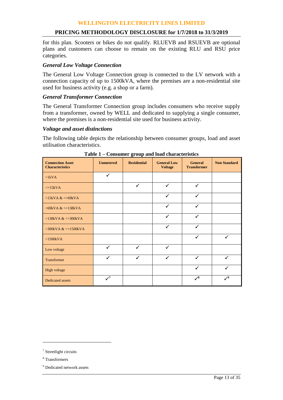# **PRICING METHODOLOGY DISCLOSURE for 1/7/2018 to 31/3/2019**

for this plan. Scooters or bikes do not qualify. RLUEVB and RSUEVB are optional plans and customers can choose to remain on the existing RLU and RSU price categories.

## *General Low Voltage Connection*

The General Low Voltage Connection group is connected to the LV network with a connection capacity of up to 1500kVA, where the premises are a non-residential site used for business activity (e.g. a shop or a farm).

## *General Transformer Connection*

The General Transformer Connection group includes consumers who receive supply from a transformer, owned by WELL and dedicated to supplying a single consumer, where the premises is a non-residential site used for business activity.

#### *Voltage and asset distinctions*

The following table depicts the relationship between consumer groups, load and asset utilisation characteristics.

| <b>Connection Asset</b><br><b>Characteristics</b> | <b>Unmetered</b> | <b>Residential</b> | <b>General Low</b><br><b>Voltage</b> | <b>General</b><br><b>Transformer</b> | <b>Non Standard</b> |
|---------------------------------------------------|------------------|--------------------|--------------------------------------|--------------------------------------|---------------------|
| $\langle$ 1kVA                                    | $\checkmark$     |                    |                                      |                                      |                     |
| $\leq$ 15kVA                                      |                  | $\checkmark$       | $\checkmark$                         | ✓                                    |                     |
| $>15kVA <=69kVA$                                  |                  |                    | $\checkmark$                         | ✓                                    |                     |
| $>69$ kVA & $\lt$ = 138kVA                        |                  |                    | $\checkmark$                         | $\checkmark$                         |                     |
| $>138kVA <=300kVA$                                |                  |                    | $\checkmark$                         | ✓                                    |                     |
| $>300$ kVA & $\lt$ =1500kVA                       |                  |                    | $\checkmark$                         | $\checkmark$                         |                     |
| $>1500kVA$                                        |                  |                    |                                      | ✓                                    | $\checkmark$        |
| Low voltage                                       | $\checkmark$     | $\checkmark$       | $\checkmark$                         |                                      |                     |
| <b>Transformer</b>                                | $\checkmark$     | $\checkmark$       | $\checkmark$                         | ✓                                    | ✓                   |
| High voltage                                      |                  |                    |                                      | ✓                                    |                     |
| Dedicated assets                                  | $\checkmark$     |                    |                                      | $\checkmark^8$                       | $\mathcal{S}^9$     |

| Table 1 – Consumer group and load characteristics |
|---------------------------------------------------|
|---------------------------------------------------|

 $\overline{a}$ 

<sup>&</sup>lt;sup>7</sup> Streetlight circuits

<sup>8</sup> Transformers

<sup>&</sup>lt;sup>9</sup> Dedicated network assets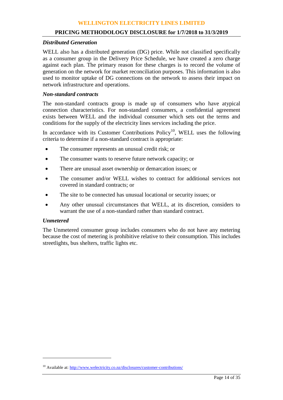#### **PRICING METHODOLOGY DISCLOSURE for 1/7/2018 to 31/3/2019**

#### *Distributed Generation*

WELL also has a distributed generation (DG) price. While not classified specifically as a consumer group in the Delivery Price Schedule, we have created a zero charge against each plan. The primary reason for these charges is to record the volume of generation on the network for market reconciliation purposes. This information is also used to monitor uptake of DG connections on the network to assess their impact on network infrastructure and operations.

# *Non-standard contracts*

The non-standard contracts group is made up of consumers who have atypical connection characteristics. For non-standard consumers, a confidential agreement exists between WELL and the individual consumer which sets out the terms and conditions for the supply of the electricity lines services including the price.

In accordance with its Customer Contributions Policy<sup>10</sup>, WELL uses the following criteria to determine if a non-standard contract is appropriate:

- The consumer represents an unusual credit risk; or
- The consumer wants to reserve future network capacity; or
- There are unusual asset ownership or demarcation issues; or
- The consumer and/or WELL wishes to contract for additional services not covered in standard contracts; or
- The site to be connected has unusual locational or security issues; or
- Any other unusual circumstances that WELL, at its discretion, considers to warrant the use of a non-standard rather than standard contract.

#### *Unmetered*

 $\overline{a}$ 

The Unmetered consumer group includes consumers who do not have any metering because the cost of metering is prohibitive relative to their consumption. This includes streetlights, bus shelters, traffic lights etc.

<sup>&</sup>lt;sup>10</sup> Available at[: http://www.welectricity.co.nz/disclosures/customer-contributions/](http://www.welectricity.co.nz/disclosures/customer-contributions/)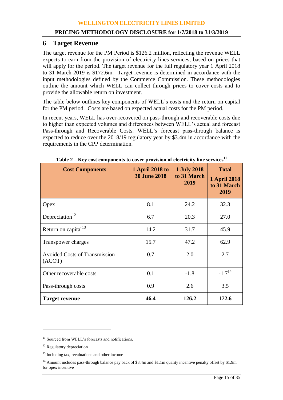# **6 Target Revenue**

The target revenue for the PM Period is \$126.2 million, reflecting the revenue WELL expects to earn from the provision of electricity lines services, based on prices that will apply for the period. The target revenue for the full regulatory year 1 April 2018 to 31 March 2019 is \$172.6m. Target revenue is determined in accordance with the input methodologies defined by the Commerce Commission. These methodologies outline the amount which WELL can collect through prices to cover costs and to provide the allowable return on investment.

The table below outlines key components of WELL's costs and the return on capital for the PM period. Costs are based on expected actual costs for the PM period.

In recent years, WELL has over-recovered on pass-through and recoverable costs due to higher than expected volumes and differences between WELL's actual and forecast Pass-through and Recoverable Costs. WELL's forecast pass-through balance is expected to reduce over the 2018/19 regulatory year by \$3.4m in accordance with the requirements in the CPP determination.

| <b>Cost Components</b>                         | <b>1 April 2018 to</b><br><b>30 June 2018</b> | <b>1 July 2018</b><br>to 31 March<br>2019 | <b>Total</b><br><b>1 April 2018</b><br>to 31 March<br>2019 |  |
|------------------------------------------------|-----------------------------------------------|-------------------------------------------|------------------------------------------------------------|--|
| Opex                                           | 8.1                                           | 24.2                                      | 32.3                                                       |  |
| Depreciation <sup>12</sup>                     | 6.7                                           | 20.3                                      | 27.0                                                       |  |
| Return on capital <sup>13</sup>                | 14.2                                          | 31.7                                      | 45.9                                                       |  |
| Transpower charges                             | 15.7                                          | 47.2                                      | 62.9                                                       |  |
| <b>Avoided Costs of Transmission</b><br>(ACOT) | 0.7                                           | 2.0                                       | 2.7                                                        |  |
| Other recoverable costs                        | 0.1                                           | $-1.8$                                    | $-1.7^{14}$                                                |  |
| Pass-through costs                             | 0.9                                           | 2.6                                       | 3.5                                                        |  |
| <b>Target revenue</b>                          | 46.4                                          | 126.2                                     | 172.6                                                      |  |

|  | Table 2 – Key cost components to cover provision of electricity line services <sup>11</sup> |  |  |
|--|---------------------------------------------------------------------------------------------|--|--|
|  |                                                                                             |  |  |

 $\overline{a}$ 

<sup>&</sup>lt;sup>11</sup> Sourced from WELL's forecasts and notifications.

<sup>&</sup>lt;sup>12</sup> Regulatory depreciation

<sup>&</sup>lt;sup>13</sup> Including tax, revaluations and other income

<sup>&</sup>lt;sup>14</sup> Amount includes pass-through balance pay back of \$3.4m and \$1.1m quality incentive penalty offset by \$1.9m for opex incentive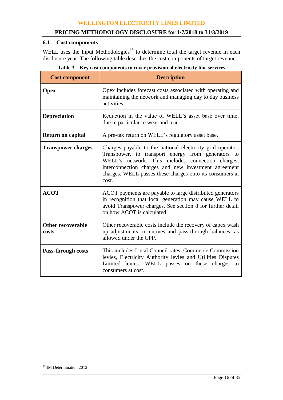# **6.1 Cost components**

WELL uses the Input Methodologies<sup>15</sup> to determine total the target revenue in each disclosure year. The following table describes the cost components of target revenue.

| <b>Cost component</b>             | <b>Description</b>                                                                                                                                                                                                                                                                                 |  |  |
|-----------------------------------|----------------------------------------------------------------------------------------------------------------------------------------------------------------------------------------------------------------------------------------------------------------------------------------------------|--|--|
| <b>Opex</b>                       | Opex includes forecast costs associated with operating and<br>maintaining the network and managing day to day business<br>activities.                                                                                                                                                              |  |  |
| <b>Depreciation</b>               | Reduction in the value of WELL's asset base over time,<br>due in particular to wear and tear.                                                                                                                                                                                                      |  |  |
| <b>Return on capital</b>          | A pre-tax return on WELL's regulatory asset base.                                                                                                                                                                                                                                                  |  |  |
| <b>Transpower charges</b>         | Charges payable to the national electricity grid operator,<br>Transpower, to transport energy from generators to<br>WELL's network. This includes connection charges,<br>interconnection charges and new investment agreement<br>charges. WELL passes these charges onto its consumers at<br>cost. |  |  |
| <b>ACOT</b>                       | ACOT payments are payable to large distributed generators<br>in recognition that local generation may cause WELL to<br>avoid Transpower charges. See section 8 for further detail<br>on how ACOT is calculated.                                                                                    |  |  |
| <b>Other recoverable</b><br>costs | Other recoverable costs include the recovery of capex wash<br>up adjustments, incentives and pass-through balances, as<br>allowed under the CPP.                                                                                                                                                   |  |  |
| <b>Pass-through costs</b>         | This includes Local Council rates, Commerce Commission<br>levies, Electricity Authority levies and Utilities Disputes<br>Limited levies. WELL passes on these charges to<br>consumers at cost.                                                                                                     |  |  |

**Table 3 – Key cost components to cover provision of electricity line services**

 $\overline{a}$ 

<sup>&</sup>lt;sup>15</sup> IM Determination 2012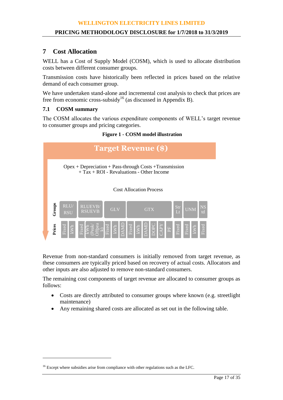# **7 Cost Allocation**

WELL has a Cost of Supply Model (COSM), which is used to allocate distribution costs between different consumer groups.

Transmission costs have historically been reflected in prices based on the relative demand of each consumer group.

We have undertaken stand-alone and incremental cost analysis to check that prices are free from economic cross-subsidy<sup>16</sup> (as discussed in Appendix B).

# **7.1 COSM summary**

 $\overline{a}$ 

The COSM allocates the various expenditure components of WELL's target revenue to consumer groups and pricing categories.





Revenue from non-standard consumers is initially removed from target revenue, as these consumers are typically priced based on recovery of actual costs. Allocators and other inputs are also adjusted to remove non-standard consumers.

The remaining cost components of target revenue are allocated to consumer groups as follows:

- Costs are directly attributed to consumer groups where known (e.g. streetlight maintenance)
- Any remaining shared costs are allocated as set out in the following table.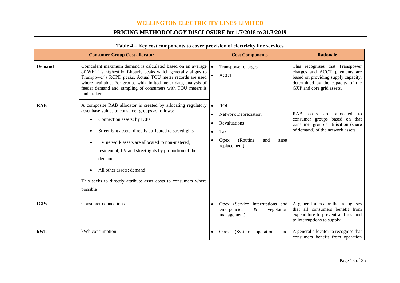# **PRICING METHODOLOGY DISCLOSURE for 1/7/2018 to 31/3/2019**

|               | <b>Consumer Group Cost allocator</b>                                                                                                                                                                                                                                                                                                                                                                                                          | <b>Cost Components</b>                                                                                                                                      | <b>Rationale</b>                                                                                                                                                          |
|---------------|-----------------------------------------------------------------------------------------------------------------------------------------------------------------------------------------------------------------------------------------------------------------------------------------------------------------------------------------------------------------------------------------------------------------------------------------------|-------------------------------------------------------------------------------------------------------------------------------------------------------------|---------------------------------------------------------------------------------------------------------------------------------------------------------------------------|
| <b>Demand</b> | Coincident maximum demand is calculated based on an average<br>of WELL's highest half-hourly peaks which generally aligns to<br>Transpower's RCPD peaks. Actual TOU meter records are used<br>where available. For groups with limited meter data, analysis of<br>feeder demand and sampling of consumers with TOU meters is<br>undertaken.                                                                                                   | Transpower charges<br><b>ACOT</b><br>$\bullet$                                                                                                              | This recognises that Transpower<br>charges and ACOT payments are<br>based on providing supply capacity,<br>determined by the capacity of the<br>GXP and core grid assets. |
| <b>RAB</b>    | A composite RAB allocator is created by allocating regulatory<br>asset base values to consumer groups as follows:<br>Connection assets: by ICPs<br>Streetlight assets: directly attributed to streetlights<br>LV network assets are allocated to non-metered,<br>residential, LV and streetlights by proportion of their<br>demand<br>All other assets: demand<br>This seeks to directly attribute asset costs to consumers where<br>possible | <b>ROI</b><br>$\bullet$<br><b>Network Depreciation</b><br>$\bullet$<br>Revaluations<br>Tax<br>$\bullet$<br>(Routine<br>Opex<br>and<br>asset<br>replacement) | <b>RAB</b><br>allocated<br>costs<br>are<br>to<br>consumer groups based on that<br>consumer group's utilisation (share<br>of demand) of the network assets.                |
| <b>ICPs</b>   | Consumer connections                                                                                                                                                                                                                                                                                                                                                                                                                          | Opex (Service interruptions and<br>emergencies<br>$\&$<br>vegetation<br>management)                                                                         | A general allocator that recognises<br>that all consumers benefit from<br>expenditure to prevent and respond<br>to interruptions to supply.                               |
| kWh           | kWh consumption                                                                                                                                                                                                                                                                                                                                                                                                                               | operations<br>(System)<br>and<br><b>Opex</b>                                                                                                                | A general allocator to recognise that<br>consumers benefit from operation                                                                                                 |

#### **Table 4 – Key cost components to cover provision of electricity line services**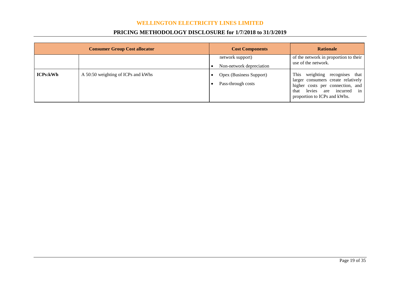# **PRICING METHODOLOGY DISCLOSURE for 1/7/2018 to 31/3/2019**

|                 | <b>Consumer Group Cost allocator</b> | <b>Cost Components</b>                        | <b>Rationale</b>                                                                                                                                                              |
|-----------------|--------------------------------------|-----------------------------------------------|-------------------------------------------------------------------------------------------------------------------------------------------------------------------------------|
|                 |                                      | network support)<br>Non-network depreciation  | of the network in proportion to their<br>use of the network.                                                                                                                  |
| <b>ICPs:kWh</b> | A 50:50 weighting of ICPs and kWhs   | Opex (Business Support)<br>Pass-through costs | This<br>weighting recognises that<br>larger consumers create relatively<br>higher costs per connection, and<br>levies are incurred in<br>that<br>proportion to ICPs and kWhs. |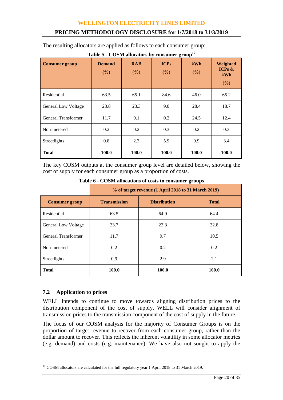# **PRICING METHODOLOGY DISCLOSURE for 1/7/2018 to 31/3/2019**

The resulting allocators are applied as follows to each consumer group:

| <b>Consumer group</b>      | <b>Demand</b><br>(%) | <b>RAB</b><br>(%) | <b>ICPs</b><br>(%) | kWh<br>(%) | Weighted<br>ICPs $\&$<br>kWh<br>(%) |
|----------------------------|----------------------|-------------------|--------------------|------------|-------------------------------------|
| Residential                | 63.5                 | 65.1              | 84.6               | 46.0       | 65.2                                |
| <b>General Low Voltage</b> | 23.8                 | 23.3              | 9.0                | 28.4       | 18.7                                |
| General Transformer        | 11.7                 | 9.1               | 0.2                | 24.5       | 12.4                                |
| Non-metered                | 0.2                  | 0.2               | 0.3                | 0.2        | 0.3                                 |
| Streetlights               | 0.8                  | 2.3               | 5.9                | 0.9        | 3.4                                 |
| <b>Total</b>               | 100.0                | 100.0             | 100.0              | 100.0      | 100.0                               |

**Table 5 - COSM allocators by consumer group<sup>17</sup>**

The key COSM outputs at the consumer group level are detailed below, showing the cost of supply for each consumer group as a proportion of costs.

|                            | % of target revenue (1 April 2018 to 31 March 2019) |                     |              |  |  |  |  |  |  |
|----------------------------|-----------------------------------------------------|---------------------|--------------|--|--|--|--|--|--|
| <b>Consumer group</b>      | <b>Transmission</b>                                 | <b>Distribution</b> | <b>Total</b> |  |  |  |  |  |  |
| Residential                | 63.5                                                | 64.9                | 64.4         |  |  |  |  |  |  |
| <b>General Low Voltage</b> | 23.7                                                | 22.3                | 22.8         |  |  |  |  |  |  |
| General Transformer        | 11.7                                                | 9.7                 | 10.5         |  |  |  |  |  |  |
| Non-metered                | 0.2                                                 | 0.2                 | 0.2          |  |  |  |  |  |  |
| Streetlights               | 0.9                                                 | 2.9                 | 2.1          |  |  |  |  |  |  |
| <b>Total</b>               | 100.0                                               | 100.0               | 100.0        |  |  |  |  |  |  |

**Table 6 - COSM allocations of costs to consumer groups**

# **7.2 Application to prices**

 $\overline{a}$ 

WELL intends to continue to move towards aligning distribution prices to the distribution component of the cost of supply. WELL will consider alignment of transmission prices to the transmission component of the cost of supply in the future.

The focus of our COSM analysis for the majority of Consumer Groups is on the proportion of target revenue to recover from each consumer group, rather than the dollar amount to recover. This reflects the inherent volatility in some allocator metrics (e.g. demand) and costs (e.g. maintenance). We have also not sought to apply the

<sup>&</sup>lt;sup>17</sup> COSM allocators are calculated for the full regulatory year 1 April 2018 to 31 March 2019.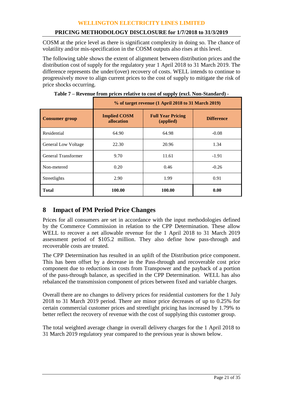# **PRICING METHODOLOGY DISCLOSURE for 1/7/2018 to 31/3/2019**

COSM at the price level as there is significant complexity in doing so. The chance of volatility and/or mis-specification in the COSM outputs also rises at this level.

The following table shows the extent of alignment between distribution prices and the distribution cost of supply for the regulatory year 1 April 2018 to 31 March 2019. The difference represents the under/(over) recovery of costs. WELL intends to continue to progressively move to align current prices to the cost of supply to mitigate the risk of price shocks occurring.

|                            | % of target revenue (1 April 2018 to 31 March 2019) |                   |         |  |  |  |  |  |  |  |
|----------------------------|-----------------------------------------------------|-------------------|---------|--|--|--|--|--|--|--|
| <b>Consumer group</b>      | <b>Implied COSM</b><br>allocation                   | <b>Difference</b> |         |  |  |  |  |  |  |  |
| Residential                | 64.90                                               | 64.98             | $-0.08$ |  |  |  |  |  |  |  |
| <b>General Low Voltage</b> | 22.30                                               | 20.96             | 1.34    |  |  |  |  |  |  |  |
| General Transformer        | 9.70                                                | 11.61             | $-1.91$ |  |  |  |  |  |  |  |
| Non-metered                | 0.20                                                | 0.46              | $-0.26$ |  |  |  |  |  |  |  |
| Streetlights               | 2.90                                                | 1.99              | 0.91    |  |  |  |  |  |  |  |
| <b>Total</b>               | 100.00                                              | 100.00            | 0.00    |  |  |  |  |  |  |  |

**Table 7 – Revenue from prices relative to cost of supply (excl. Non-Standard) -**

# **8 Impact of PM Period Price Changes**

Prices for all consumers are set in accordance with the input methodologies defined by the Commerce Commission in relation to the CPP Determination. These allow WELL to recover a net allowable revenue for the 1 April 2018 to 31 March 2019 assessment period of \$105.2 million. They also define how pass-through and recoverable costs are treated.

The CPP Determination has resulted in an uplift of the Distribution price component. This has been offset by a decrease in the Pass-through and recoverable cost price component due to reductions in costs from Transpower and the payback of a portion of the pass-through balance, as specified in the CPP Determination. WELL has also rebalanced the transmission component of prices between fixed and variable charges.

Overall there are no changes to delivery prices for residential customers for the 1 July 2018 to 31 March 2019 period. There are minor price decreases of up to 0.25% for certain commercial customer prices and streetlight pricing has increased by 1.79% to better reflect the recovery of revenue with the cost of supplying this customer group.

The total weighted average change in overall delivery charges for the 1 April 2018 to 31 March 2019 regulatory year compared to the previous year is shown below.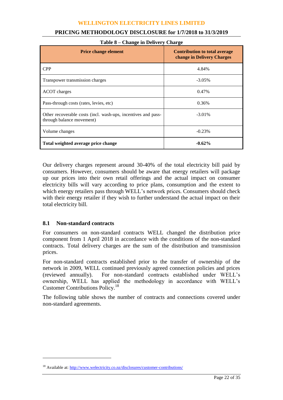| Table 8 – Change in Delivery Charge                                                        |                                                                    |  |  |  |  |  |  |  |  |
|--------------------------------------------------------------------------------------------|--------------------------------------------------------------------|--|--|--|--|--|--|--|--|
| <b>Price change element</b>                                                                | <b>Contribution to total average</b><br>change in Delivery Charges |  |  |  |  |  |  |  |  |
| <b>CPP</b>                                                                                 | 4.84%                                                              |  |  |  |  |  |  |  |  |
| Transpower transmission charges                                                            | $-3.05\%$                                                          |  |  |  |  |  |  |  |  |
| ACOT charges                                                                               | 0.47%                                                              |  |  |  |  |  |  |  |  |
| Pass-through costs (rates, levies, etc)                                                    | 0.36%                                                              |  |  |  |  |  |  |  |  |
| Other recoverable costs (incl. wash-ups, incentives and pass-<br>through balance movement) | $-3.01\%$                                                          |  |  |  |  |  |  |  |  |
| Volume changes                                                                             | $-0.23%$                                                           |  |  |  |  |  |  |  |  |
| Total weighted average price change                                                        | $-0.62%$                                                           |  |  |  |  |  |  |  |  |

# **PRICING METHODOLOGY DISCLOSURE for 1/7/2018 to 31/3/2019**

Our delivery charges represent around 30-40% of the total electricity bill paid by consumers. However, consumers should be aware that energy retailers will package up our prices into their own retail offerings and the actual impact on consumer electricity bills will vary according to price plans, consumption and the extent to which energy retailers pass through WELL's network prices. Consumers should check with their energy retailer if they wish to further understand the actual impact on their total electricity bill.

## **8.1 Non-standard contracts**

 $\overline{a}$ 

For consumers on non-standard contracts WELL changed the distribution price component from 1 April 2018 in accordance with the conditions of the non-standard contracts. Total delivery charges are the sum of the distribution and transmission prices.

For non-standard contracts established prior to the transfer of ownership of the network in 2009, WELL continued previously agreed connection policies and prices (reviewed annually). For non-standard contracts established under WELL's ownership, WELL has applied the methodology in accordance with WELL's Customer Contributions Policy.<sup>18</sup>

The following table shows the number of contracts and connections covered under non-standard agreements.

<sup>&</sup>lt;sup>18</sup> Available at: http://www.welectricity.co.nz/disclosures/customer-contributions/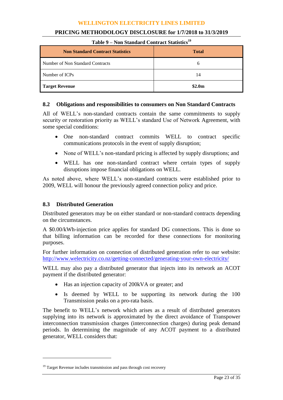| Table 9 – Non Standard Contract Statistics<br><b>Non Standard Contract Statistics</b> | <b>Total</b>       |
|---------------------------------------------------------------------------------------|--------------------|
| Number of Non Standard Contracts                                                      | O                  |
| Number of ICPs                                                                        | 14                 |
| <b>Target Revenue</b>                                                                 | \$2.0 <sub>m</sub> |

# **PRICING METHODOLOGY DISCLOSURE for 1/7/2018 to 31/3/2019**

#### **Table 9 – Non Standard Contract Statistics<sup>19</sup>**

# **8.2 Obligations and responsibilities to consumers on Non Standard Contracts**

All of WELL's non-standard contracts contain the same commitments to supply security or restoration priority as WELL's standard Use of Network Agreement, with some special conditions:

- One non-standard contract commits WELL to contract specific communications protocols in the event of supply disruption;
- None of WELL's non-standard pricing is affected by supply disruptions; and
- WELL has one non-standard contract where certain types of supply disruptions impose financial obligations on WELL.

As noted above, where WELL's non-standard contracts were established prior to 2009, WELL will honour the previously agreed connection policy and price.

# **8.3 Distributed Generation**

Distributed generators may be on either standard or non-standard contracts depending on the circumstances.

A \$0.00/kWh-injection price applies for standard DG connections. This is done so that billing information can be recorded for these connections for monitoring purposes.

For further information on connection of distributed generation refer to our website: <http://www.welectricity.co.nz/getting-connected/generating-your-own-electricity/>

WELL may also pay a distributed generator that injects into its network an ACOT payment if the distributed generator:

- Has an injection capacity of 200kVA or greater; and
- Is deemed by WELL to be supporting its network during the 100 Transmission peaks on a pro-rata basis.

The benefit to WELL's network which arises as a result of distributed generators supplying into its network is approximated by the direct avoidance of Transpower interconnection transmission charges (interconnection charges) during peak demand periods. In determining the magnitude of any ACOT payment to a distributed generator, WELL considers that:

 $\overline{a}$ 

 $19$  Target Revenue includes transmission and pass through cost recovery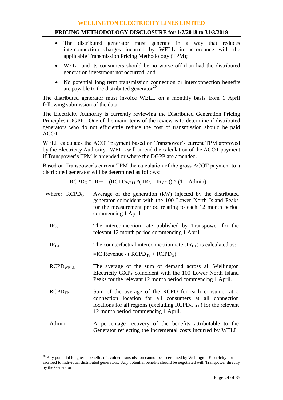## **PRICING METHODOLOGY DISCLOSURE for 1/7/2018 to 31/3/2019**

- The distributed generator must generate in a way that reduces interconnection charges incurred by WELL in accordance with the applicable Transmission Pricing Methodology (TPM);
- WELL and its consumers should be no worse off than had the distributed generation investment not occurred; and
- No potential long term transmission connection or interconnection benefits are payable to the distributed generator $^{20}$

The distributed generator must invoice WELL on a monthly basis from 1 April following submission of the data.

The Electricity Authority is currently reviewing the Distributed Generation Pricing Principles (DGPP). One of the main items of the review is to determine if distributed generators who do not efficiently reduce the cost of transmission should be paid ACOT.

WELL calculates the ACOT payment based on Transpower's current TPM approved by the Electricity Authority. WELL will amend the calculation of the ACOT payment if Transpower's TPM is amended or where the DGPP are amended.

Based on Transpower's current TPM the calculation of the gross ACOT payment to a distributed generator will be determined as follows:

$$
RCPD_G * IR_{CF} - (RCPD_{WELL} * (IR_A - IR_{CF} )) * (1 - Admin)
$$

| Where: $RCPD_G$    | Average of the generation (kW) injected by the distributed<br>generator coincident with the 100 Lower North Island Peaks<br>for the measurement period relating to each 12 month period<br>commencing 1 April.                   |
|--------------------|----------------------------------------------------------------------------------------------------------------------------------------------------------------------------------------------------------------------------------|
| IR <sub>A</sub>    | The interconnection rate published by Transpower for the<br>relevant 12 month period commencing 1 April.                                                                                                                         |
| IR <sub>CF</sub>   | The counterfactual interconnection rate $(\text{IR}_{CF})$ is calculated as:                                                                                                                                                     |
|                    | $=IC$ Revenue / ( $RCPD_{TP}$ + $RCPD_G$ )                                                                                                                                                                                       |
| <b>RCPDWELL</b>    | The average of the sum of demand across all Wellington<br>Electricity GXPs coincident with the 100 Lower North Island<br>Peaks for the relevant 12 month period commencing 1 April.                                              |
| RCPD <sub>TP</sub> | Sum of the average of the RCPD for each consumer at a<br>connection location for all consumers at all connection<br>locations for all regions (excluding $RCPD_{WELL}$ ) for the relevant<br>12 month period commencing 1 April. |
| Admin              | A percentage recovery of the benefits attributable to the<br>Generator reflecting the incremental costs incurred by WELL.                                                                                                        |

 $\overline{a}$ 

 $20$  Any potential long term benefits of avoided transmission cannot be ascertained by Wellington Electricity nor ascribed to individual distributed generators. Any potential benefits should be negotiated with Transpower directly by the Generator.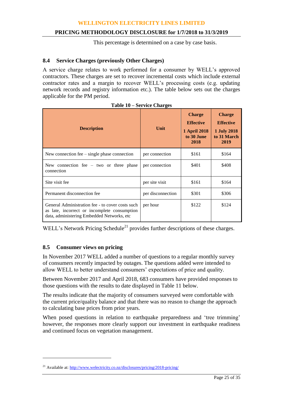# **PRICING METHODOLOGY DISCLOSURE for 1/7/2018 to 31/3/2019**

This percentage is determined on a case by case basis.

# **8.4 Service Charges (previously Other Charges)**

A service charge relates to work performed for a consumer by WELL's approved contractors. These charges are set to recover incremental costs which include external contractor rates and a margin to recover WELL's processing costs (e.g. updating network records and registry information etc.). The table below sets out the charges applicable for the PM period.

| <b>Description</b>                                                                                                                             | Unit              | <b>Charge</b><br><b>Effective</b><br><b>1 April 2018</b><br>to 30 June<br>2018 | <b>Charge</b><br><b>Effective</b><br><b>1 July 2018</b><br>to 31 March<br>2019 |  |  |
|------------------------------------------------------------------------------------------------------------------------------------------------|-------------------|--------------------------------------------------------------------------------|--------------------------------------------------------------------------------|--|--|
| New connection fee $-$ single phase connection                                                                                                 | per connection    | \$161                                                                          | \$164                                                                          |  |  |
| New connection fee $-$ two or three phase<br>connection                                                                                        | per connection    | \$401                                                                          | \$408                                                                          |  |  |
| Site visit fee                                                                                                                                 | per site visit    | \$161                                                                          | \$164                                                                          |  |  |
| Permanent disconnection fee                                                                                                                    | per disconnection | \$301                                                                          | \$306                                                                          |  |  |
| General Administration fee - to cover costs such<br>as late, incorrect or incomplete consumption<br>data, administering Embedded Networks, etc | per hour          | \$122                                                                          | \$124                                                                          |  |  |

| Table 10 – Service Charges |  |
|----------------------------|--|
|----------------------------|--|

WELL's Network Pricing Schedule<sup>21</sup> provides further descriptions of these charges.

# **8.5 Consumer views on pricing**

 $\overline{a}$ 

In November 2017 WELL added a number of questions to a regular monthly survey of consumers recently impacted by outages. The questions added were intended to allow WELL to better understand consumers' expectations of price and quality.

Between November 2017 and April 2018, 683 consumers have provided responses to those questions with the results to date displayed in Table 11 below.

The results indicate that the majority of consumers surveyed were comfortable with the current price/quality balance and that there was no reason to change the approach to calculating base prices from prior years.

When posed questions in relation to earthquake preparedness and 'tree trimming' however, the responses more clearly support our investment in earthquake readiness and continued focus on vegetation management.

<sup>&</sup>lt;sup>21</sup> Available at[: http://www.welectricity.co.nz/disclosures/pricing/2018-pricing/](http://www.welectricity.co.nz/disclosures/pricing/2018-pricing/)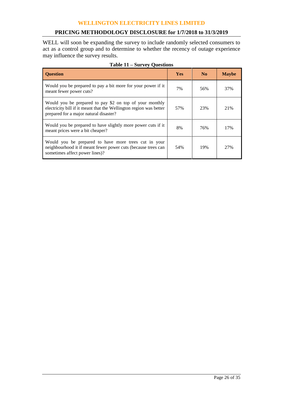## **PRICING METHODOLOGY DISCLOSURE for 1/7/2018 to 31/3/2019**

WELL will soon be expanding the survey to include randomly selected consumers to act as a control group and to determine to whether the recency of outage experience may influence the survey results.

| <b>Ouestion</b>                                                                                                                                                         | <b>Yes</b> | N <sub>0</sub> | <b>Maybe</b> |
|-------------------------------------------------------------------------------------------------------------------------------------------------------------------------|------------|----------------|--------------|
| Would you be prepared to pay a bit more for your power if it<br>meant fewer power cuts?                                                                                 | 7%         | 56%            | 37%          |
| Would you be prepared to pay \$2 on top of your monthly<br>electricity bill if it meant that the Wellington region was better<br>prepared for a major natural disaster? | 57%        | 23%            | 21%          |
| Would you be prepared to have slightly more power cuts if it<br>meant prices were a bit cheaper?                                                                        | 8%         | 76%            | 17%          |
| Would you be prepared to have more trees cut in your<br>neighbourhood it if meant fewer power cuts (because trees can<br>sometimes affect power lines)?                 | 54%        | 19%            | 27%          |

# **Table 11 – Survey Questions**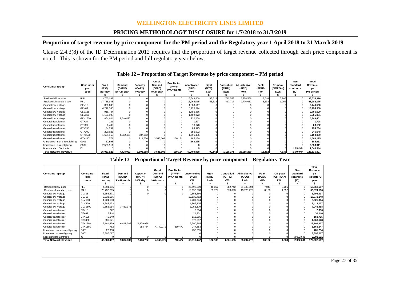#### **PRICING METHODOLOGY DISCLOSURE for 1/7/2018 to 31/3/2019**

# **Proportion of target revenue by price component for the PM period and the Regulatory year 1 April 2018 to 31 March 2019**

Clause 2.4.3(8) of the ID Determination 2012 requires that the proportion of target revenue collected through each price component is noted. This is shown for the PM period and full regulatory year below.

|                                                  |                          |                            |                               |                                |                                       |                                           | Table 12 – Proportion of Target Revenue by price component – PM period |                               |                                    |                                       |                              |                                     |                                             |                                                   |
|--------------------------------------------------|--------------------------|----------------------------|-------------------------------|--------------------------------|---------------------------------------|-------------------------------------------|------------------------------------------------------------------------|-------------------------------|------------------------------------|---------------------------------------|------------------------------|-------------------------------------|---------------------------------------------|---------------------------------------------------|
| <b>Consumer group</b>                            | Consumer<br>plan<br>code | Fixed<br>(FIXD)<br>per dav | Demand<br>(DAMD)<br>kVA/month | Capactiy<br>(CAPY)<br>kV A/dav | On-pk<br>Demand<br>(DOPC)<br>kW/month | <b>Pwr Factor</b><br>(PWRF)<br>kVAr/month | <b>Uncontrolled</b><br>(24UC)<br><b>kWh</b>                            | Niaht<br>(NITE)<br><b>kWh</b> | <b>Controlled</b><br>(CTRL)<br>kWh | <b>All Inclusive</b><br>(AICO)<br>kWh | Peak<br>(PEAK)<br><b>kWh</b> | Off-peak<br>(OFFPEAK)<br><b>kWh</b> | <b>Non</b><br>standard<br>contracts<br>(IC) | <b>Total</b><br>Revenue<br>pa<br><b>PM</b> period |
|                                                  |                          |                            |                               |                                |                                       |                                           |                                                                        |                               |                                    |                                       |                              |                                     |                                             |                                                   |
| Residential low user                             | <b>RLU</b><br><b>RSU</b> | 3,755,037                  |                               |                                |                                       |                                           | 18.843.809                                                             | 33,518                        | 712,553<br>417.717                 | 15,278,568                            | 7.044                        | 3.786                               |                                             | 38,634,316                                        |
| Residential standard user<br>General low voltage | GLV15                    | 17,758,948<br>866.033      |                               |                                |                                       |                                           | 13,265,015                                                             | 56,623                        |                                    | 9,776,682                             | 6,138                        | 1,052                               |                                             | 41,282,175                                        |
| General low voltage                              | GLV69                    | 4.219.386                  |                               |                                |                                       |                                           | 1.880.517<br>8.975.594                                                 |                               |                                    |                                       |                              |                                     |                                             | 2,746,550                                         |
| General low voltage                              | <b>GLV138</b>            | 918.734                    |                               |                                |                                       |                                           |                                                                        |                               |                                    |                                       |                              |                                     |                                             | 13,194,980<br>2,705,590                           |
| General low voltage                              | GLV300                   | 1.163.908                  |                               |                                |                                       |                                           | 1,786,856                                                              |                               |                                    |                                       |                              |                                     |                                             |                                                   |
|                                                  |                          |                            |                               |                                |                                       |                                           | 1,402,073                                                              |                               |                                    |                                       |                              |                                     |                                             | 2,565,981                                         |
| General low voltage                              | GLV1500<br>GTX15         | .864.644                   | 2.546.497                     |                                |                                       |                                           | 932.260                                                                |                               |                                    |                                       |                              |                                     |                                             | 5,343,401                                         |
| General transformer                              |                          | 221                        |                               |                                |                                       |                                           | 1.577                                                                  |                               |                                    |                                       |                              |                                     |                                             | 1,798                                             |
| General transformer                              | GTX69                    | 6.482                      |                               |                                |                                       |                                           | 16.670                                                                 |                               |                                    |                                       |                              |                                     |                                             | 23,152                                            |
| General transformer                              | GTX138                   | 34.259                     |                               |                                |                                       |                                           | 89.975                                                                 |                               |                                    |                                       |                              |                                     |                                             | 124,234                                           |
| General transformer                              | GTX300                   | 290.026                    |                               |                                |                                       |                                           | 656.622                                                                |                               |                                    |                                       |                              |                                     |                                             | 946,648                                           |
| General transformer                              | GTX1500                  | 1,624,166                  | 4.882.424                     | 887.012                        |                                       |                                           | 1,796,486                                                              |                               |                                    |                                       |                              |                                     |                                             | 9,190,089                                         |
| General transformer                              | GTX1501                  | 571                        |                               | 714,676                        | 3,545,603                             | 160,164                                   | 185.180                                                                |                               |                                    |                                       |                              |                                     |                                             | 4,606,195                                         |
| Unmetered - non-street lighting                  | G001                     | 17.598                     |                               |                                |                                       |                                           | 568.335                                                                |                               |                                    |                                       |                              |                                     |                                             | 585,933                                           |
| Unmetered - street lighting                      | G002                     | 2,533,911                  |                               |                                |                                       |                                           |                                                                        |                               |                                    |                                       |                              |                                     |                                             | 2,533,911                                         |
| Non-standard Contracts                           | IC                       |                            |                               |                                |                                       |                                           |                                                                        |                               |                                    |                                       |                              |                                     | 1,640,944                                   | 1,640,944                                         |
| Total Network Revenue                            |                          | 35,053,925                 | 7,428,922                     | 1.601.688                      | 3,545,603                             | 160,164                                   | 50,400,968                                                             | 90.142                        | 1,130,271                          | 25,055,250                            | 13,182                       | 4.838                               | 1,640,944                                   | 126, 125, 897                                     |

**Table 12 – Proportion of Target Revenue by price component – PM period**

| Table 13 – Proportion of Target Revenue by price component – Regulatory Year |  |  |
|------------------------------------------------------------------------------|--|--|
|                                                                              |  |  |

| <u>ivui-staliualu Cultiacts</u>                                              | ∼                               |                            |                               |                                |                                       |                                                |                               |                               |                                    |                                       |                              |                              | 1,040,944                                   | <b>.,040,944</b>                                    |
|------------------------------------------------------------------------------|---------------------------------|----------------------------|-------------------------------|--------------------------------|---------------------------------------|------------------------------------------------|-------------------------------|-------------------------------|------------------------------------|---------------------------------------|------------------------------|------------------------------|---------------------------------------------|-----------------------------------------------------|
| <b>Total Network Revenue</b>                                                 |                                 | 35.053.925                 | 7,428,922                     | 1,601,688                      | 3,545,603                             | 160.164                                        | 50.400.968                    | 90,142                        | 1,130,271                          | 25,055,250                            | 13.182                       | 4.838                        | 1,640,944                                   | 126,125,897                                         |
| Table 13 – Proportion of Target Revenue by price component – Regulatory Year |                                 |                            |                               |                                |                                       |                                                |                               |                               |                                    |                                       |                              |                              |                                             |                                                     |
| Consumer group                                                               | <b>Consumer</b><br>plan<br>code | Fixed<br>(FIXD)<br>per day | Demand<br>(DAMD)<br>kVA/month | Capactiy<br>(CAPY)<br>kV A/day | On-pk<br>Demand<br>(DOPC)<br>kW/month | <b>Pwr Factor</b><br>(PWRF)<br>kVAr/month<br>s | Uncontrolled<br>(24UC)<br>kWh | Night<br>(NITE)<br><b>kWh</b> | <b>Controlled</b><br>(CTRL)<br>kWh | <b>All Inclusive</b><br>(AICO)<br>kWh | Peak<br>(PEAK)<br><b>kWh</b> | Off-peak<br>(OFFPEAK)<br>kWh | <b>Non</b><br>standard<br>contracts<br>(IC) | <b>Total</b><br>Revenue<br>pa<br>Regulatory<br>year |
| Residential low user                                                         | <b>RLU</b>                      | 4,994,185                  |                               |                                |                                       |                                                | 26,498,539                    | 48,367                        | 982,742                            | 21,433,994                            | 7.044                        | 3.786                        |                                             | 53,968,657                                          |
| Residential standard user                                                    | <b>RSU</b>                      | 23,732,795                 |                               |                                |                                       |                                                | 18,698,578                    | 83,772                        | 578,893                            | 13,773,278                            | 6,138                        | 1,052                        |                                             | 56,874,506                                          |
| General low voltage                                                          | GLV15                           | 1,155,271                  |                               |                                |                                       |                                                | 2.553.666                     |                               |                                    |                                       |                              |                              |                                             | 3,708,937                                           |
| General low voltage                                                          | GLV69                           | 5,632,686                  |                               |                                |                                       |                                                | 12,139,462                    |                               |                                    |                                       |                              |                              |                                             | 17,772,148                                          |
| General low voltage                                                          | <b>GLV138</b>                   | 1.224.130                  |                               |                                |                                       |                                                | 2.401.774                     |                               |                                    |                                       |                              |                              |                                             | 3,625,904                                           |
| General low voltage                                                          | <b>GLV300</b>                   | 1,545,923                  |                               |                                |                                       |                                                | 1.867.105                     |                               |                                    |                                       |                              |                              |                                             | 3,413,027                                           |
| General low voltage                                                          | GLV1500                         | 2,552,914                  | 3,439,375                     |                                |                                       |                                                | 1,253,179                     |                               |                                    |                                       |                              |                              |                                             | 7,245,468                                           |
| General transformer                                                          | GTX15                           | 272                        |                               |                                |                                       |                                                | 2,084                         |                               |                                    |                                       |                              |                              |                                             | 2,356                                               |
| General transformer                                                          | GTX69                           | 8,444                      |                               |                                |                                       |                                                | 21.701                        |                               |                                    |                                       |                              |                              |                                             | 30,146                                              |
| General transformer                                                          | GTX138                          | 45,140                     |                               |                                |                                       |                                                | 113,565                       |                               |                                    |                                       |                              |                              |                                             | 158,705                                             |
| General transformer                                                          | GTX300                          | 386,571                    |                               |                                |                                       |                                                | 873,557                       |                               |                                    |                                       |                              |                              |                                             | 1,260,128                                           |
| General transformer                                                          | GTX1500                         | 2,181,439                  | 6.448.305                     | 1,179,968                      |                                       |                                                | 2.390.265                     |                               |                                    |                                       |                              |                              |                                             | 12,199,977                                          |
| General transformer                                                          | GTX1501                         | 762                        |                               | 953,784                        | 4,749,271                             | 210,477                                        | 247,353                       |                               |                                    |                                       |                              |                              |                                             | 6,161,647                                           |
| Unmetered - non-street lighting                                              | G001                            | 22,938                     |                               |                                |                                       |                                                | 758,315                       |                               |                                    |                                       |                              |                              |                                             | 781,254                                             |
| Unmetered - street lighting                                                  | G002                            | 3,397,017                  |                               |                                |                                       |                                                |                               |                               |                                    |                                       |                              |                              |                                             | 3,397,017                                           |
| Non-standard Contracts                                                       | IC.                             |                            |                               |                                |                                       |                                                |                               |                               |                                    |                                       |                              |                              | 2,002,691                                   | 2,002,691                                           |
| <b>Total Network Revenue</b>                                                 |                                 | 46,880,487                 | 9,887,680                     | 2,133,752                      | 4,749,271                             | 210,477                                        | 69,819,142                    | 132,139                       | 1,561,635                          | 35,207,272                            | 13,182                       | 4,838                        | 2.002.691                                   | 172.602.567                                         |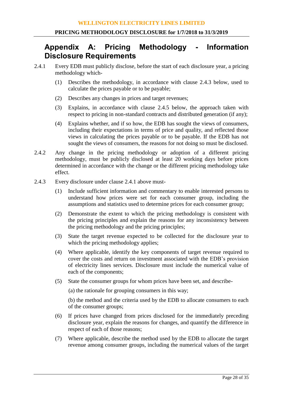# **Appendix A: Pricing Methodology - Information Disclosure Requirements**

- 2.4.1 Every EDB must publicly disclose, before the start of each disclosure year, a pricing methodology which-
	- (1) Describes the methodology, in accordance with clause 2.4.3 below, used to calculate the prices payable or to be payable;
	- (2) Describes any changes in prices and target revenues;
	- (3) Explains, in accordance with clause 2.4.5 below, the approach taken with respect to pricing in non-standard contracts and distributed generation (if any);
	- (4) Explains whether, and if so how, the EDB has sought the views of consumers, including their expectations in terms of price and quality, and reflected those views in calculating the prices payable or to be payable. If the EDB has not sought the views of consumers, the reasons for not doing so must be disclosed.
- 2.4.2 Any change in the pricing methodology or adoption of a different pricing methodology, must be publicly disclosed at least 20 working days before prices determined in accordance with the change or the different pricing methodology take effect.
- 2.4.3 Every disclosure under clause 2.4.1 above must-
	- (1) Include sufficient information and commentary to enable interested persons to understand how prices were set for each consumer group, including the assumptions and statistics used to determine prices for each consumer group;
	- (2) Demonstrate the extent to which the pricing methodology is consistent with the pricing principles and explain the reasons for any inconsistency between the pricing methodology and the pricing principles;
	- (3) State the target revenue expected to be collected for the disclosure year to which the pricing methodology applies;
	- (4) Where applicable, identify the key components of target revenue required to cover the costs and return on investment associated with the EDB's provision of electricity lines services. Disclosure must include the numerical value of each of the components;
	- (5) State the consumer groups for whom prices have been set, and describe-

(a) the rationale for grouping consumers in this way;

(b) the method and the criteria used by the EDB to allocate consumers to each of the consumer groups;

- (6) If prices have changed from prices disclosed for the immediately preceding disclosure year, explain the reasons for changes, and quantify the difference in respect of each of those reasons;
- (7) Where applicable, describe the method used by the EDB to allocate the target revenue among consumer groups, including the numerical values of the target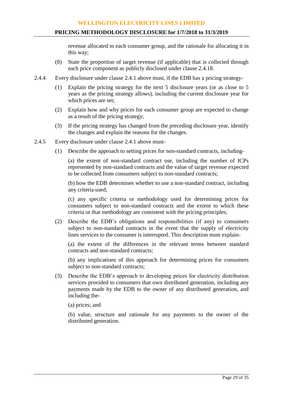revenue allocated to each consumer group, and the rationale for allocating it in this way;

- (8) State the proportion of target revenue (if applicable) that is collected through each price component as publicly disclosed under clause 2.4.18.
- 2.4.4 Every disclosure under clause 2.4.1 above must, if the EDB has a pricing strategy-
	- (1) Explain the pricing strategy for the next 5 disclosure years (or as close to 5 years as the pricing strategy allows), including the current disclosure year for which prices are set;
	- (2) Explain how and why prices for each consumer group are expected to change as a result of the pricing strategy;
	- (3) If the pricing strategy has changed from the preceding disclosure year, identify the changes and explain the reasons for the changes.
- 2.4.5 Every disclosure under clause 2.4.1 above must-
	- (1) Describe the approach to setting prices for non-standard contracts, including-

(a) the extent of non-standard contract use, including the number of ICPs represented by non-standard contracts and the value of target revenue expected to be collected from consumers subject to non-standard contracts;

(b) how the EDB determines whether to use a non-standard contract, including any criteria used;

(c) any specific criteria or methodology used for determining prices for consumers subject to non-standard contracts and the extent to which these criteria or that methodology are consistent with the pricing principles;

(2) Describe the EDB's obligations and responsibilities (if any) to consumers subject to non-standard contracts in the event that the supply of electricity lines services to the consumer is interrupted. This description must explain-

(a) the extent of the differences in the relevant terms between standard contracts and non-standard contracts;

(b) any implications of this approach for determining prices for consumers subject to non-standard contracts;

- (3) Describe the EDB's approach to developing prices for electricity distribution services provided to consumers that own distributed generation, including any payments made by the EDB to the owner of any distributed generation, and including the-
	- (a) prices; and

(b) value, structure and rationale for any payments to the owner of the distributed generation.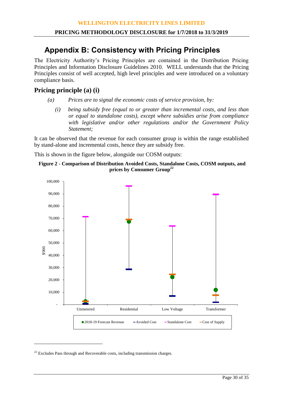# **Appendix B: Consistency with Pricing Principles**

The Electricity Authority's Pricing Principles are contained in the Distribution Pricing Principles and Information Disclosure Guidelines 2010. WELL understands that the Pricing Principles consist of well accepted, high level principles and were introduced on a voluntary compliance basis.

# **Pricing principle (a) (i)**

- *(a) Prices are to signal the economic costs of service provision, by:*
	- *(i) being subsidy free (equal to or greater than incremental costs, and less than or equal to standalone costs), except where subsidies arise from compliance with legislative and/or other regulations and/or the Government Policy Statement;*

It can be observed that the revenue for each consumer group is within the range established by stand-alone and incremental costs, hence they are subsidy free.

This is shown in the figure below, alongside our COSM outputs:





 $22$  Excludes Pass through and Recoverable costs, including transmission charges.

<u>.</u>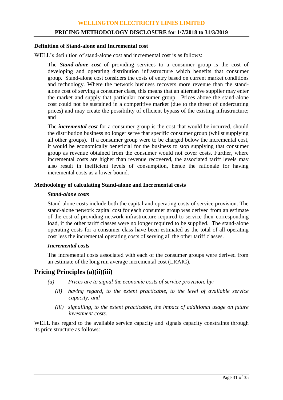#### **PRICING METHODOLOGY DISCLOSURE for 1/7/2018 to 31/3/2019**

#### **Definition of Stand-alone and Incremental cost**

WELL's definition of stand-alone cost and incremental cost is as follows:

The *Stand-alone cost* of providing services to a consumer group is the cost of developing and operating distribution infrastructure which benefits that consumer group. Stand-alone cost considers the costs of entry based on current market conditions and technology. Where the network business recovers more revenue than the standalone cost of serving a consumer class, this means that an alternative supplier may enter the market and supply that particular consumer group. Prices above the stand-alone cost could not be sustained in a competitive market (due to the threat of undercutting prices) and may create the possibility of efficient bypass of the existing infrastructure; and

The *incremental cost* for a consumer group is the cost that would be incurred, should the distribution business no longer serve that specific consumer group (whilst supplying all other groups). If a consumer group were to be charged below the incremental cost, it would be economically beneficial for the business to stop supplying that consumer group as revenue obtained from the consumer would not cover costs. Further, where incremental costs are higher than revenue recovered, the associated tariff levels may also result in inefficient levels of consumption, hence the rationale for having incremental costs as a lower bound.

# **Methodology of calculating Stand-alone and Incremental costs**

#### *Stand-alone costs*

Stand-alone costs include both the capital and operating costs of service provision. The stand-alone network capital cost for each consumer group was derived from an estimate of the cost of providing network infrastructure required to service their corresponding load, if the other tariff classes were no longer required to be supplied. The stand-alone operating costs for a consumer class have been estimated as the total of all operating cost less the incremental operating costs of serving all the other tariff classes.

#### *Incremental costs*

The incremental costs associated with each of the consumer groups were derived from an estimate of the long run average incremental cost (LRAIC).

# **Pricing Principles (a)(ii)(iii)**

- *(a) Prices are to signal the economic costs of service provision, by:*
	- *(ii) having regard, to the extent practicable, to the level of available service capacity; and*
	- *(iii) signalling, to the extent practicable, the impact of additional usage on future investment costs.*

WELL has regard to the available service capacity and signals capacity constraints through its price structure as follows: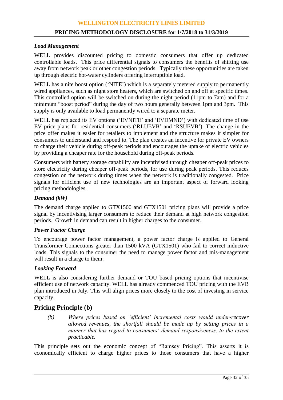#### **PRICING METHODOLOGY DISCLOSURE for 1/7/2018 to 31/3/2019**

#### *Load Management*

WELL provides discounted pricing to domestic consumers that offer up dedicated controllable loads. This price differential signals to consumers the benefits of shifting use away from network peak or other congestion periods. Typically these opportunities are taken up through electric hot-water cylinders offering interruptible load.

WELL has a nite boost option ('NITE') which is a separately metered supply to permanently wired appliances, such as night store heaters, which are switched on and off at specific times. This controlled option will be switched on during the night period (11pm to 7am) and for a minimum "boost period" during the day of two hours generally between 1pm and 3pm. This supply is only available to load permanently wired to a separate meter.

WELL has replaced its EV options ('EVNITE' and 'EVDMND') with dedicated time of use EV price plans for residential consumers ('RLUEVB' and 'RSUEVB'). The change in the price offer makes it easier for retailers to implement and the structure makes it simpler for consumers to understand and respond to. The plan creates an incentive for private EV owners to charge their vehicle during off-peak periods and encourages the uptake of electric vehicles by providing a cheaper rate for the household during off-peak periods.

Consumers with battery storage capability are incentivised through cheaper off-peak prices to store electricity during cheaper off-peak periods, for use during peak periods. This reduces congestion on the network during times when the network is traditionally congested. Price signals for efficient use of new technologies are an important aspect of forward looking pricing methodologies.

## *Demand (kW)*

The demand charge applied to GTX1500 and GTX1501 pricing plans will provide a price signal by incentivising larger consumers to reduce their demand at high network congestion periods. Growth in demand can result in higher charges to the consumer.

#### *Power Factor Charge*

To encourage power factor management, a power factor charge is applied to General Transformer Connections greater than 1500 kVA (GTX1501) who fail to correct inductive loads. This signals to the consumer the need to manage power factor and mis-management will result in a charge to them.

#### *Looking Forward*

WELL is also considering further demand or TOU based pricing options that incentivise efficient use of network capacity. WELL has already commenced TOU pricing with the EVB plan introduced in July. This will align prices more closely to the cost of investing in service capacity.

# **Pricing Principle (b)**

*(b) Where prices based on 'efficient' incremental costs would under-recover allowed revenues, the shortfall should be made up by setting prices in a manner that has regard to consumers' demand responsiveness, to the extent practicable.*

This principle sets out the economic concept of "Ramsey Pricing". This asserts it is economically efficient to charge higher prices to those consumers that have a higher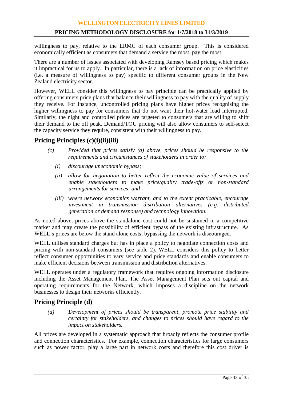#### **PRICING METHODOLOGY DISCLOSURE for 1/7/2018 to 31/3/2019**

willingness to pay, relative to the LRMC of each consumer group. This is considered economically efficient as consumers that demand a service the most, pay the most.

There are a number of issues associated with developing Ramsey based pricing which makes it impractical for us to apply. In particular, there is a lack of information on price elasticities (i.e. a measure of willingness to pay) specific to different consumer groups in the New Zealand electricity sector.

However, WELL consider this willingness to pay principle can be practically applied by offering consumers price plans that balance their willingness to pay with the quality of supply they receive. For instance, uncontrolled pricing plans have higher prices recognising the higher willingness to pay for consumers that do not want their hot-water load interrupted. Similarly, the night and controlled prices are targeted to consumers that are willing to shift their demand to the off peak. Demand/TOU pricing will also allow consumers to self-select the capacity service they require, consistent with their willingness to pay.

# **Pricing Principles (c)(i)(ii)(iii)**

- *(c) Provided that prices satisfy (a) above, prices should be responsive to the requirements and circumstances of stakeholders in order to:*
	- *(i) discourage uneconomic bypass;*
	- *(ii) allow for negotiation to better reflect the economic value of services and enable stakeholders to make price/quality trade-offs or non-standard arrangements for services; and*
	- *(iii) where network economics warrant, and to the extent practicable, encourage investment in transmission distribution alternatives (e.g. distributed generation or demand response) and technology innovation.*

As noted above, prices above the standalone cost could not be sustained in a competitive market and may create the possibility of efficient bypass of the existing infrastructure. As WELL's prices are below the stand alone costs, bypassing the network is discouraged.

WELL utilises standard charges but has in place a policy to negotiate connection costs and pricing with non-standard consumers (see table 2). WELL considers this policy to better reflect consumer opportunities to vary service and price standards and enable consumers to make efficient decisions between transmission and distribution alternatives.

WELL operates under a regulatory framework that requires ongoing information disclosure including the Asset Management Plan. The Asset Management Plan sets out capital and operating requirements for the Network, which imposes a discipline on the network businesses to design their networks efficiently.

# **Pricing Principle (d)**

*(d) Development of prices should be transparent, promote price stability and certainty for stakeholders, and changes to prices should have regard to the impact on stakeholders.*

All prices are developed in a systematic approach that broadly reflects the consumer profile and connection characteristics. For example, connection characteristics for large consumers such as power factor, play a large part in network costs and therefore this cost driver is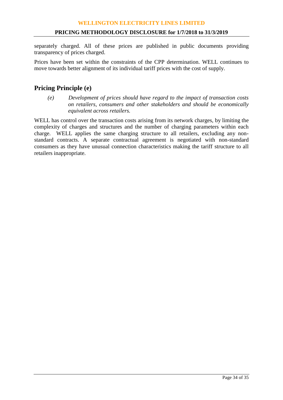separately charged. All of these prices are published in public documents providing transparency of prices charged.

Prices have been set within the constraints of the CPP determination. WELL continues to move towards better alignment of its individual tariff prices with the cost of supply.

# **Pricing Principle (e)**

*(e) Development of prices should have regard to the impact of transaction costs on retailers, consumers and other stakeholders and should be economically equivalent across retailers.*

WELL has control over the transaction costs arising from its network charges, by limiting the complexity of charges and structures and the number of charging parameters within each charge. WELL applies the same charging structure to all retailers, excluding any nonstandard contracts. A separate contractual agreement is negotiated with non-standard consumers as they have unusual connection characteristics making the tariff structure to all retailers inappropriate.